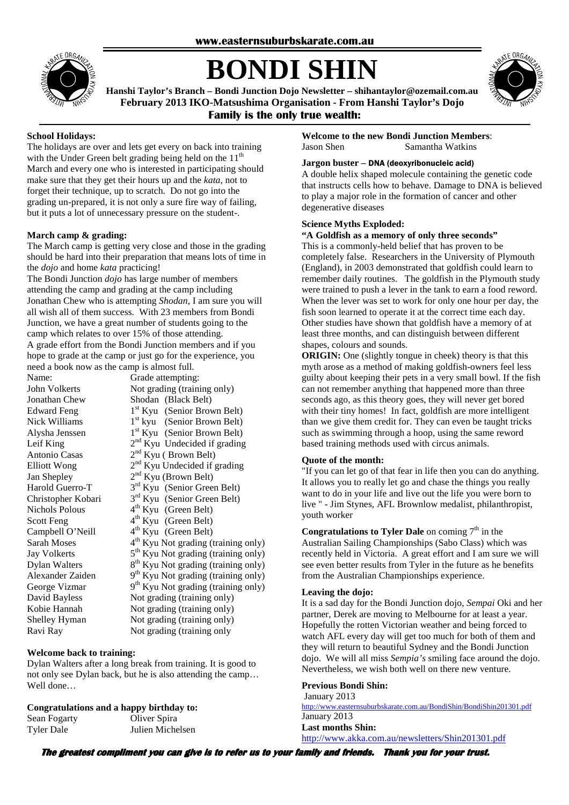

# **BONDI SHIN**



**Hanshi Taylor's Branch – Bondi Junction Dojo Newsletter – shihantaylor@ozemail.com.au February 2013 IKO-Matsushima Organisation - From Hanshi Taylor's Dojo Family is the only true wealth:** 

#### **School Holidays:**

The holidays are over and lets get every on back into training with the Under Green belt grading being held on the  $11<sup>th</sup>$ March and every one who is interested in participating should make sure that they get their hours up and the *kata*, not to forget their technique, up to scratch. Do not go into the grading un-prepared, it is not only a sure fire way of failing, but it puts a lot of unnecessary pressure on the student-.

#### **March camp & grading:**

The March camp is getting very close and those in the grading should be hard into their preparation that means lots of time in the *dojo* and home *kata* practicing!

The Bondi Junction *dojo* has large number of members attending the camp and grading at the camp including Jonathan Chew who is attempting *Shodan*, I am sure you will all wish all of them success. With 23 members from Bondi Junction, we have a great number of students going to the camp which relates to over 15% of those attending. A grade effort from the Bondi Junction members and if you hope to grade at the camp or just go for the experience, you need a book now as the camp is almost full.

| Name:                 | Grade attempting:                               |
|-----------------------|-------------------------------------------------|
| <b>John Volkerts</b>  | Not grading (training only)                     |
| Jonathan Chew         | Shodan (Black Belt)                             |
| <b>Edward Feng</b>    | 1 <sup>st</sup> Kyu (Senior Brown Belt)         |
| Nick Williams         | 1 <sup>st</sup> kyu (Senior Brown Belt)         |
| Alysha Jenssen        | 1 <sup>st</sup> Kyu (Senior Brown Belt)         |
| Leif King             | 2 <sup>nd</sup> Kyu Undecided if grading        |
| <b>Antonio Casas</b>  | 2 <sup>nd</sup> Kyu (Brown Belt)                |
| <b>Elliott Wong</b>   | 2 <sup>nd</sup> Kyu Undecided if grading        |
| Jan Shepley           | $2nd$ Kyu (Brown Belt)                          |
| Harold Guerro-T       | 3 <sup>rd</sup> Kyu (Senior Green Belt)         |
| Christopher Kobari    | 3 <sup>rd</sup> Kyu (Senior Green Belt)         |
| <b>Nichols Polous</b> | 4 <sup>th</sup> Kyu (Green Belt)                |
| <b>Scott Feng</b>     | $4th$ Kyu (Green Belt)                          |
| Campbell O'Neill      | $4th$ Kyu (Green Belt)                          |
| <b>Sarah Moses</b>    | 4 <sup>th</sup> Kyu Not grading (training only) |
| <b>Jay Volkerts</b>   | 5 <sup>th</sup> Kyu Not grading (training only) |
| <b>Dylan Walters</b>  | 8 <sup>th</sup> Kyu Not grading (training only) |
| Alexander Zaiden      | 9 <sup>th</sup> Kyu Not grading (training only) |
| George Vizmar         | 9 <sup>th</sup> Kyu Not grading (training only) |
| David Bayless         | Not grading (training only)                     |
| Kobie Hannah          | Not grading (training only)                     |
| Shelley Hyman         | Not grading (training only)                     |
| Ravi Ray              | Not grading (training only                      |

#### **Welcome back to training:**

Dylan Walters after a long break from training. It is good to not only see Dylan back, but he is also attending the camp… Well done…

#### **Congratulations and a happy birthday to:**

| Sean Fogarty | Oliver Spira     |
|--------------|------------------|
| Tyler Dale   | Julien Michelsen |

**Welcome to the new Bondi Junction Members**: Jason Shen Samantha Watkins

#### **Jargon buster –** DNA (deoxyribonucleic acid)

A double helix shaped molecule containing the genetic code that instructs cells how to behave. Damage to DNA is believed to play a major role in the formation of cancer and other degenerative diseases

#### **Science Myths Exploded:**

#### **"A Goldfish as a memory of only three seconds"**

This is a commonly-held belief that has proven to be completely false. Researchers in the University of Plymouth (England), in 2003 demonstrated that goldfish could learn to remember daily routines. The goldfish in the Plymouth study were trained to push a lever in the tank to earn a food reword. When the lever was set to work for only one hour per day, the fish soon learned to operate it at the correct time each day. Other studies have shown that goldfish have a memory of at least three months, and can distinguish between different shapes, colours and sounds.

**ORIGIN:** One (slightly tongue in cheek) theory is that this myth arose as a method of making goldfish-owners feel less guilty about keeping their pets in a very small bowl. If the fish can not remember anything that happened more than three seconds ago, as this theory goes, they will never get bored with their tiny homes! In fact, goldfish are more intelligent than we give them credit for. They can even be taught tricks such as swimming through a hoop, using the same reword based training methods used with circus animals.

#### **Quote of the month:**

"If you can let go of that fear in life then you can do anything. It allows you to really let go and chase the things you really want to do in your life and live out the life you were born to live " - Jim Stynes, AFL Brownlow medalist, philanthropist, youth worker

**Congratulations to Tyler Dale** on coming  $7<sup>th</sup>$  in the Australian Sailing Championships (Sabo Class) which was recently held in Victoria. A great effort and I am sure we will see even better results from Tyler in the future as he benefits from the Australian Championships experience.

#### **Leaving the dojo:**

It is a sad day for the Bondi Junction dojo, *Sempai* Oki and her partner, Derek are moving to Melbourne for at least a year. Hopefully the rotten Victorian weather and being forced to watch AFL every day will get too much for both of them and they will return to beautiful Sydney and the Bondi Junction dojo. We will all miss *Sempia's* smiling face around the dojo. Nevertheless, we wish both well on there new venture.

#### **Previous Bondi Shin:**

 January 2013 http://www.easternsuburbskarate.com.au/BondiShin/BondiShin201301.pdf January 2013

### **Last months Shin:**

http://www.akka.com.au/newsletters/Shin201301.pdf

**The greatest compliment you can give is to refer us to your family and friends. friends. Thank you for your trust. Thank for trust.**